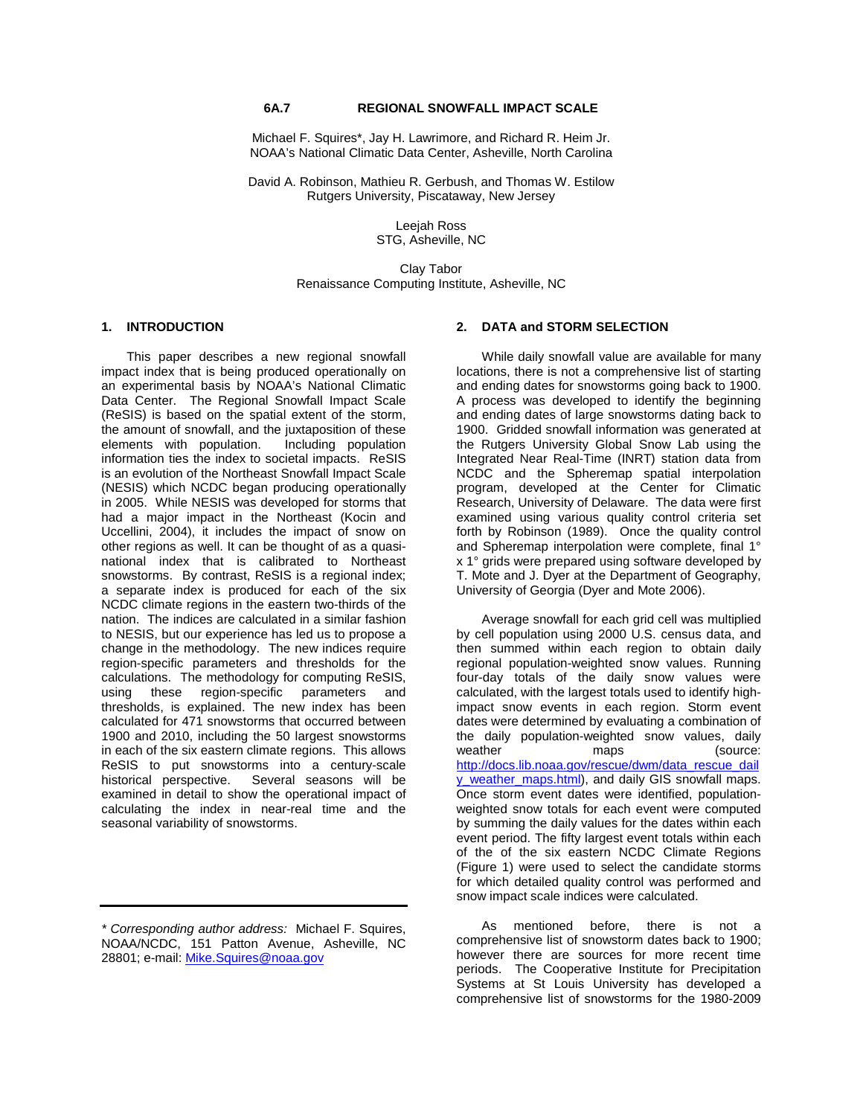Michael F. Squires\*, Jay H. Lawrimore, and Richard R. Heim Jr. NOAA's National Climatic Data Center, Asheville, North Carolina

David A. Robinson, Mathieu R. Gerbush, and Thomas W. Estilow Rutgers University, Piscataway, New Jersey

> Leejah Ross STG, Asheville, NC

Clay Tabor Renaissance Computing Institute, Asheville, NC

#### **1. INTRODUCTION**

This paper describes a new regional snowfall impact index that is being produced operationally on an experimental basis by NOAA's National Climatic Data Center. The Regional Snowfall Impact Scale (ReSIS) is based on the spatial extent of the storm, the amount of snowfall, and the juxtaposition of these<br>elements with population. Including population elements with population. information ties the index to societal impacts. ReSIS is an evolution of the Northeast Snowfall Impact Scale (NESIS) which NCDC began producing operationally in 2005. While NESIS was developed for storms that had a major impact in the Northeast (Kocin and Uccellini, 2004), it includes the impact of snow on other regions as well. It can be thought of as a quasinational index that is calibrated to Northeast snowstorms. By contrast, ReSIS is a regional index; a separate index is produced for each of the six NCDC climate regions in the eastern two-thirds of the nation. The indices are calculated in a similar fashion to NESIS, but our experience has led us to propose a change in the methodology. The new indices require region-specific parameters and thresholds for the calculations. The methodology for computing ReSIS,<br>using these region-specific parameters and using these region-specific parameters and thresholds, is explained. The new index has been calculated for 471 snowstorms that occurred between 1900 and 2010, including the 50 largest snowstorms in each of the six eastern climate regions. This allows ReSIS to put snowstorms into a century-scale historical perspective. Several seasons will be Several seasons will be examined in detail to show the operational impact of calculating the index in near-real time and the seasonal variability of snowstorms.

# **2. DATA and STORM SELECTION**

While daily snowfall value are available for many locations, there is not a comprehensive list of starting and ending dates for snowstorms going back to 1900. A process was developed to identify the beginning and ending dates of large snowstorms dating back to 1900. Gridded snowfall information was generated at the Rutgers University Global Snow Lab using the Integrated Near Real-Time (INRT) station data from NCDC and the Spheremap spatial interpolation program, developed at the Center for Climatic Research, University of Delaware. The data were first examined using various quality control criteria set forth by Robinson (1989). Once the quality control and Spheremap interpolation were complete, final 1° x 1° grids were prepared using software developed by T. Mote and J. Dyer at the Department of Geography, University of Georgia (Dyer and Mote 2006).

Average snowfall for each grid cell was multiplied by cell population using 2000 U.S. census data, and then summed within each region to obtain daily regional population-weighted snow values. Running four-day totals of the daily snow values were calculated, with the largest totals used to identify highimpact snow events in each region. Storm event dates were determined by evaluating a combination of the daily population-weighted snow values, daily<br>weather mans (source: maps (source: [http://docs.lib.noaa.gov/rescue/dwm/data\\_rescue\\_dail](http://docs.lib.noaa.gov/rescue/dwm/data_rescue_daily_weather_maps.html) [y\\_weather\\_maps.html\)](http://docs.lib.noaa.gov/rescue/dwm/data_rescue_daily_weather_maps.html), and daily GIS snowfall maps. Once storm event dates were identified, populationweighted snow totals for each event were computed by summing the daily values for the dates within each event period. The fifty largest event totals within each of the of the six eastern NCDC Climate Regions (Figure 1) were used to select the candidate storms for which detailed quality control was performed and snow impact scale indices were calculated.

As mentioned before, there is not a comprehensive list of snowstorm dates back to 1900; however there are sources for more recent time periods. The Cooperative Institute for Precipitation Systems at St Louis University has developed a comprehensive list of snowstorms for the 1980-2009

*<sup>\*</sup> Corresponding author address:* Michael F. Squires, NOAA/NCDC, 151 Patton Avenue, Asheville, NC 28801; e-mail[: Mike.Squires@noaa.gov](mailto:Mike.Squires@noaa.gov)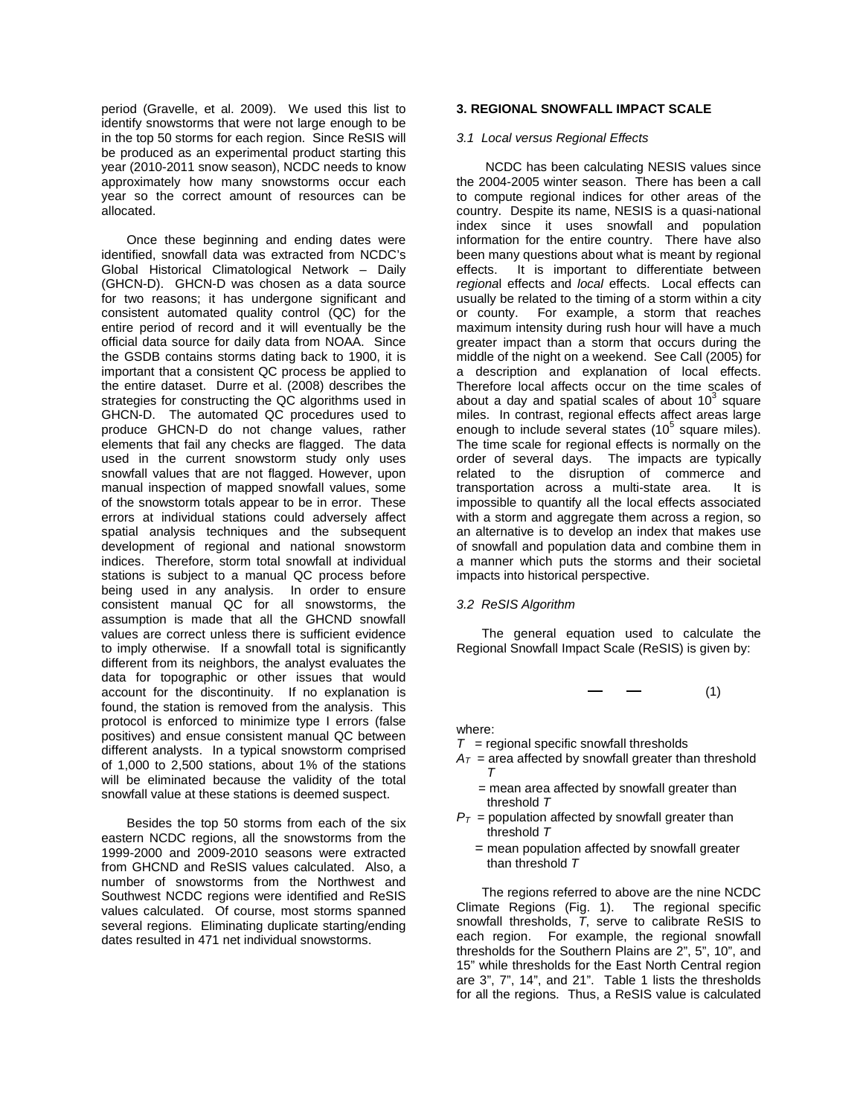period (Gravelle, et al. 2009). We used this list to identify snowstorms that were not large enough to be in the top 50 storms for each region. Since ReSIS will be produced as an experimental product starting this year (2010-2011 snow season), NCDC needs to know approximately how many snowstorms occur each year so the correct amount of resources can be allocated.

Once these beginning and ending dates were identified, snowfall data was extracted from NCDC's Global Historical Climatological Network – Daily (GHCN-D). GHCN-D was chosen as a data source for two reasons; it has undergone significant and consistent automated quality control (QC) for the entire period of record and it will eventually be the official data source for daily data from NOAA. Since the GSDB contains storms dating back to 1900, it is important that a consistent QC process be applied to the entire dataset. Durre et al. (2008) describes the strategies for constructing the QC algorithms used in GHCN-D. The automated QC procedures used to produce GHCN-D do not change values, rather elements that fail any checks are flagged. The data used in the current snowstorm study only uses snowfall values that are not flagged. However, upon manual inspection of mapped snowfall values, some of the snowstorm totals appear to be in error. These errors at individual stations could adversely affect spatial analysis techniques and the subsequent development of regional and national snowstorm indices. Therefore, storm total snowfall at individual stations is subject to a manual QC process before being used in any analysis. In order to ensure consistent manual QC for all snowstorms, the assumption is made that all the GHCND snowfall values are correct unless there is sufficient evidence to imply otherwise. If a snowfall total is significantly different from its neighbors, the analyst evaluates the data for topographic or other issues that would account for the discontinuity. If no explanation is found, the station is removed from the analysis. This protocol is enforced to minimize type I errors (false positives) and ensue consistent manual QC between different analysts. In a typical snowstorm comprised of 1,000 to 2,500 stations, about 1% of the stations will be eliminated because the validity of the total snowfall value at these stations is deemed suspect.

Besides the top 50 storms from each of the six eastern NCDC regions, all the snowstorms from the 1999-2000 and 2009-2010 seasons were extracted from GHCND and ReSIS values calculated. Also, a number of snowstorms from the Northwest and Southwest NCDC regions were identified and ReSIS values calculated. Of course, most storms spanned several regions. Eliminating duplicate starting/ending dates resulted in 471 net individual snowstorms.

# **3. REGIONAL SNOWFALL IMPACT SCALE**

#### *3.1 Local versus Regional Effects*

NCDC has been calculating NESIS values since the 2004-2005 winter season. There has been a call to compute regional indices for other areas of the country. Despite its name, NESIS is a quasi-national index since it uses snowfall and population information for the entire country. There have also been many questions about what is meant by regional<br>effects. It is important to differentiate between It is important to differentiate between *regiona*l effects and *local* effects. Local effects can usually be related to the timing of a storm within a city or county. For example, a storm that reaches maximum intensity during rush hour will have a much greater impact than a storm that occurs during the middle of the night on a weekend. See Call (2005) for a description and explanation of local effects. Therefore local affects occur on the time scales of about a day and spatial scales of about  $10<sup>3</sup>$  square miles. In contrast, regional effects affect areas large enough to include several states  $(10^5 \text{ square miles}).$ The time scale for regional effects is normally on the order of several days. The impacts are typically related to the disruption of commerce and<br>transportation across a multi-state area. It is transportation across a multi-state area. impossible to quantify all the local effects associated with a storm and aggregate them across a region, so an alternative is to develop an index that makes use of snowfall and population data and combine them in a manner which puts the storms and their societal impacts into historical perspective.

#### *3.2 ReSIS Algorithm*

The general equation used to calculate the Regional Snowfall Impact Scale (ReSIS) is given by:

(1)

where:

- $T =$  regional specific snowfall thresholds
- $A_T$  = area affected by snowfall greater than threshold *T*
	- = mean area affected by snowfall greater than threshold *T*
- $P_T$  = population affected by snowfall greater than threshold *T*
	- = mean population affected by snowfall greater than threshold *T*

The regions referred to above are the nine NCDC Climate Regions (Fig. 1). The regional specific snowfall thresholds, *T*, serve to calibrate ReSIS to each region. For example, the regional snowfall thresholds for the Southern Plains are 2", 5", 10", and 15" while thresholds for the East North Central region are 3", 7", 14", and 21". Table 1 lists the thresholds for all the regions. Thus, a ReSIS value is calculated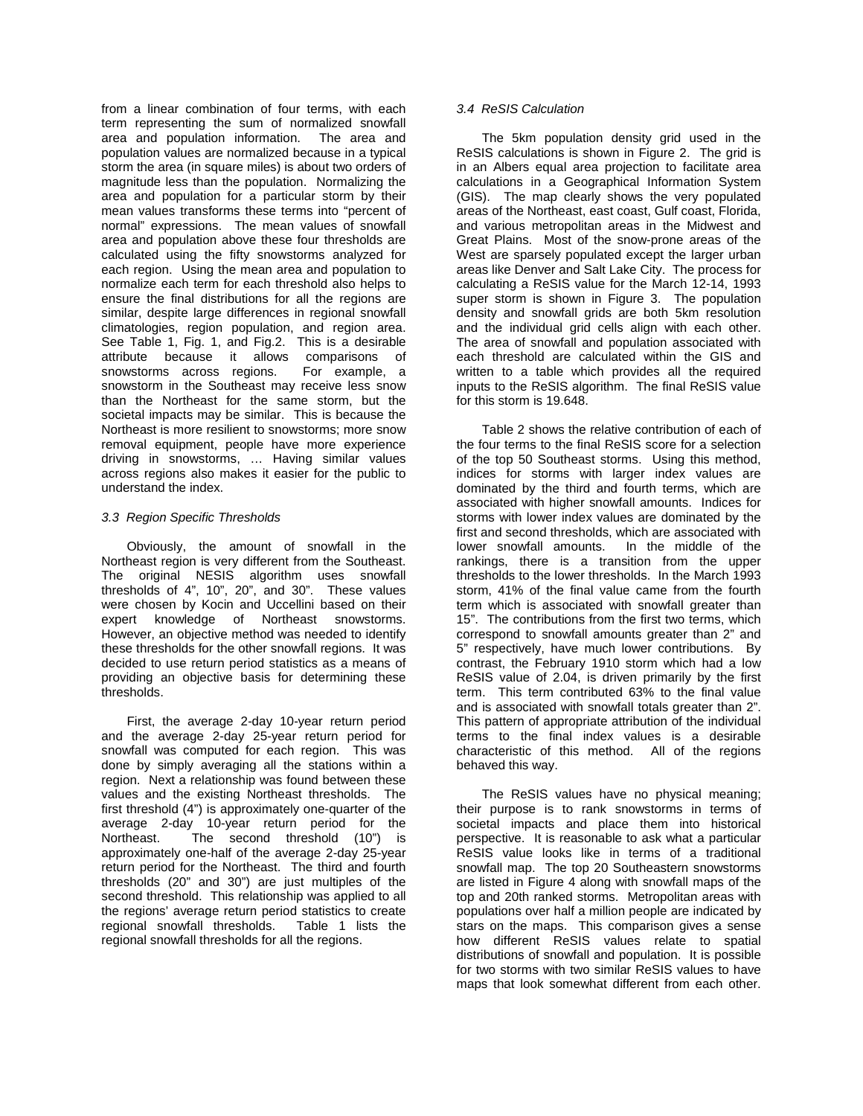from a linear combination of four terms, with each term representing the sum of normalized snowfall area and population information. The area and population values are normalized because in a typical storm the area (in square miles) is about two orders of magnitude less than the population. Normalizing the area and population for a particular storm by their mean values transforms these terms into "percent of normal" expressions. The mean values of snowfall area and population above these four thresholds are calculated using the fifty snowstorms analyzed for each region. Using the mean area and population to normalize each term for each threshold also helps to ensure the final distributions for all the regions are similar, despite large differences in regional snowfall climatologies, region population, and region area. See Table 1, Fig. 1, and Fig.2. This is a desirable attribute because it allows comparisons of snowstorms across regions. For example, a snowstorm in the Southeast may receive less snow than the Northeast for the same storm, but the societal impacts may be similar. This is because the Northeast is more resilient to snowstorms; more snow removal equipment, people have more experience driving in snowstorms, … Having similar values across regions also makes it easier for the public to understand the index.

## *3.3 Region Specific Thresholds*

Obviously, the amount of snowfall in the Northeast region is very different from the Southeast. The original NESIS algorithm uses snowfall thresholds of 4", 10", 20", and 30". These values were chosen by Kocin and Uccellini based on their expert knowledge of Northeast snowstorms. However, an objective method was needed to identify these thresholds for the other snowfall regions. It was decided to use return period statistics as a means of providing an objective basis for determining these thresholds.

First, the average 2-day 10-year return period and the average 2-day 25-year return period for snowfall was computed for each region. This was done by simply averaging all the stations within a region. Next a relationship was found between these values and the existing Northeast thresholds. The first threshold (4") is approximately one-quarter of the average 2-day 10-year return period for the<br>Northeast. The second threshold (10") is The second threshold  $(10")$  is approximately one-half of the average 2-day 25-year return period for the Northeast. The third and fourth thresholds (20" and 30") are just multiples of the second threshold. This relationship was applied to all the regions' average return period statistics to create regional snowfall thresholds. Table 1 lists the regional snowfall thresholds for all the regions.

# *3.4 ReSIS Calculation*

The 5km population density grid used in the ReSIS calculations is shown in Figure 2. The grid is in an Albers equal area projection to facilitate area calculations in a Geographical Information System (GIS). The map clearly shows the very populated areas of the Northeast, east coast, Gulf coast, Florida, and various metropolitan areas in the Midwest and Great Plains. Most of the snow-prone areas of the West are sparsely populated except the larger urban areas like Denver and Salt Lake City. The process for calculating a ReSIS value for the March 12-14, 1993 super storm is shown in Figure 3. The population density and snowfall grids are both 5km resolution and the individual grid cells align with each other. The area of snowfall and population associated with each threshold are calculated within the GIS and written to a table which provides all the required inputs to the ReSIS algorithm. The final ReSIS value for this storm is 19.648.

Table 2 shows the relative contribution of each of the four terms to the final ReSIS score for a selection of the top 50 Southeast storms. Using this method, indices for storms with larger index values are dominated by the third and fourth terms, which are associated with higher snowfall amounts. Indices for storms with lower index values are dominated by the first and second thresholds, which are associated with lower snowfall amounts. In the middle of the rankings, there is a transition from the upper thresholds to the lower thresholds. In the March 1993 storm, 41% of the final value came from the fourth term which is associated with snowfall greater than 15". The contributions from the first two terms, which correspond to snowfall amounts greater than 2" and 5" respectively, have much lower contributions. By contrast, the February 1910 storm which had a low ReSIS value of 2.04, is driven primarily by the first term. This term contributed 63% to the final value and is associated with snowfall totals greater than 2". This pattern of appropriate attribution of the individual terms to the final index values is a desirable characteristic of this method. All of the regions behaved this way.

The ReSIS values have no physical meaning; their purpose is to rank snowstorms in terms of societal impacts and place them into historical perspective. It is reasonable to ask what a particular ReSIS value looks like in terms of a traditional snowfall map. The top 20 Southeastern snowstorms are listed in Figure 4 along with snowfall maps of the top and 20th ranked storms. Metropolitan areas with populations over half a million people are indicated by stars on the maps. This comparison gives a sense how different ReSIS values relate to spatial distributions of snowfall and population. It is possible for two storms with two similar ReSIS values to have maps that look somewhat different from each other.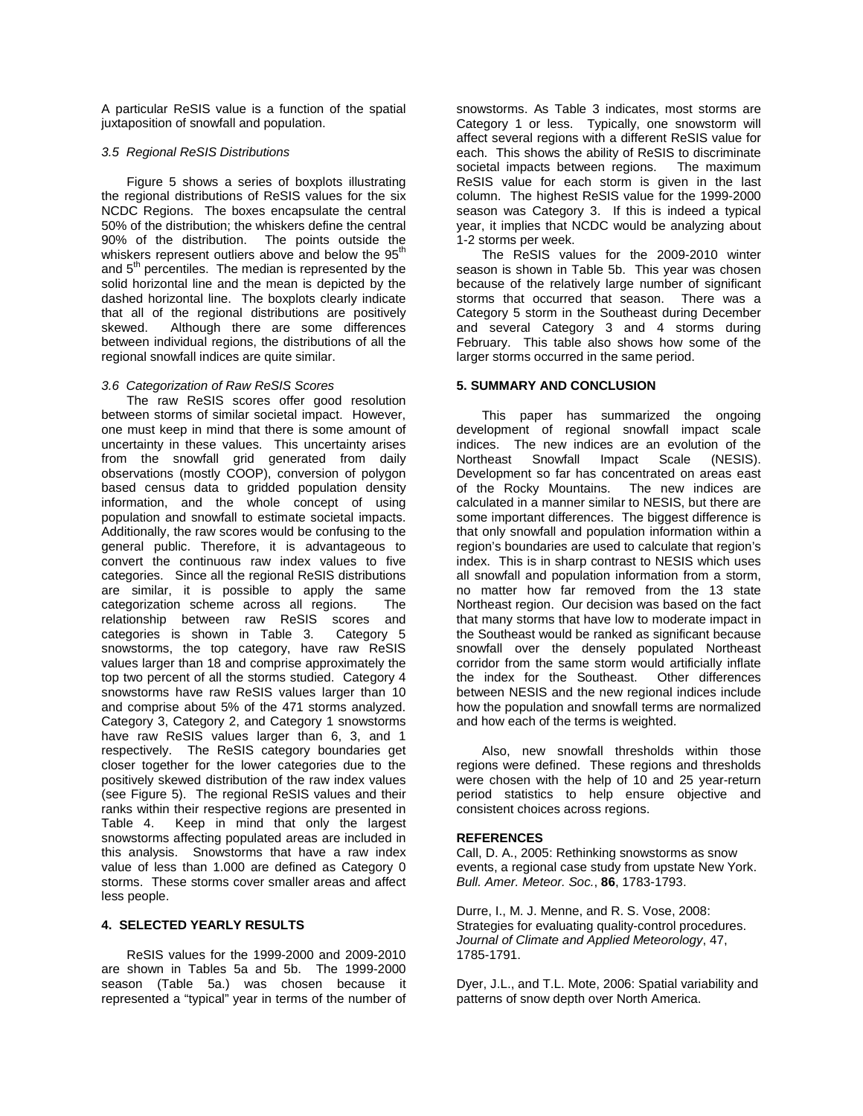A particular ReSIS value is a function of the spatial juxtaposition of snowfall and population.

## *3.5 Regional ReSIS Distributions*

Figure 5 shows a series of boxplots illustrating the regional distributions of ReSIS values for the six NCDC Regions. The boxes encapsulate the central 50% of the distribution; the whiskers define the central 90% of the distribution. The points outside the whiskers represent outliers above and below the 95<sup>th</sup> and  $5<sup>th</sup>$  percentiles. The median is represented by the solid horizontal line and the mean is depicted by the dashed horizontal line. The boxplots clearly indicate that all of the regional distributions are positively<br>skewed. Although there are some differences Although there are some differences between individual regions, the distributions of all the regional snowfall indices are quite similar.

## *3.6 Categorization of Raw ReSIS Scores*

The raw ReSIS scores offer good resolution between storms of similar societal impact. However, one must keep in mind that there is some amount of uncertainty in these values. This uncertainty arises from the snowfall grid generated from daily observations (mostly COOP), conversion of polygon based census data to gridded population density information, and the whole concept of using population and snowfall to estimate societal impacts. Additionally, the raw scores would be confusing to the general public. Therefore, it is advantageous to convert the continuous raw index values to five categories. Since all the regional ReSIS distributions are similar, it is possible to apply the same<br>categorization scheme across all regions The categorization scheme across all regions. relationship between raw ReSIS scores and<br>categories is shown in Table 3. Category 5 categories is shown in Table 3. snowstorms, the top category, have raw ReSIS values larger than 18 and comprise approximately the top two percent of all the storms studied. Category 4 snowstorms have raw ReSIS values larger than 10 and comprise about 5% of the 471 storms analyzed. Category 3, Category 2, and Category 1 snowstorms have raw ReSIS values larger than 6, 3, and 1 respectively. The ReSIS category boundaries get closer together for the lower categories due to the positively skewed distribution of the raw index values (see Figure 5). The regional ReSIS values and their ranks within their respective regions are presented in Table 4. Keep in mind that only the largest snowstorms affecting populated areas are included in this analysis. Snowstorms that have a raw index value of less than 1.000 are defined as Category 0 storms. These storms cover smaller areas and affect less people.

#### **4. SELECTED YEARLY RESULTS**

ReSIS values for the 1999-2000 and 2009-2010 are shown in Tables 5a and 5b. The 1999-2000 season (Table 5a.) was chosen because it represented a "typical" year in terms of the number of snowstorms. As Table 3 indicates, most storms are Category 1 or less. Typically, one snowstorm will affect several regions with a different ReSIS value for each. This shows the ability of ReSIS to discriminate societal impacts between regions. The maximum ReSIS value for each storm is given in the last column. The highest ReSIS value for the 1999-2000 season was Category 3. If this is indeed a typical year, it implies that NCDC would be analyzing about 1-2 storms per week.

The ReSIS values for the 2009-2010 winter season is shown in Table 5b. This year was chosen because of the relatively large number of significant storms that occurred that season. There was a Category 5 storm in the Southeast during December and several Category 3 and 4 storms during February. This table also shows how some of the larger storms occurred in the same period.

## **5. SUMMARY AND CONCLUSION**

This paper has summarized the ongoing development of regional snowfall impact scale indices. The new indices are an evolution of the Northeast Snowfall Impact Scale (NESIS). Development so far has concentrated on areas east of the Rocky Mountains. The new indices are calculated in a manner similar to NESIS, but there are some important differences. The biggest difference is that only snowfall and population information within a region's boundaries are used to calculate that region's index. This is in sharp contrast to NESIS which uses all snowfall and population information from a storm, no matter how far removed from the 13 state Northeast region. Our decision was based on the fact that many storms that have low to moderate impact in the Southeast would be ranked as significant because snowfall over the densely populated Northeast corridor from the same storm would artificially inflate<br>the index for the Southeast. Other differences the index for the Southeast. between NESIS and the new regional indices include how the population and snowfall terms are normalized and how each of the terms is weighted.

Also, new snowfall thresholds within those regions were defined. These regions and thresholds were chosen with the help of 10 and 25 year-return period statistics to help ensure objective and consistent choices across regions.

#### **REFERENCES**

Call, D. A., 2005: Rethinking snowstorms as snow events, a regional case study from upstate New York. *Bull. Amer. Meteor. Soc.*, **86**, 1783-1793.

Durre, I., M. J. Menne, and R. S. Vose, 2008: Strategies for evaluating quality-control procedures. *Journal of Climate and Applied Meteorology*, 47, 1785-1791.

Dyer, J.L., and T.L. Mote, 2006: Spatial variability and patterns of snow depth over North America.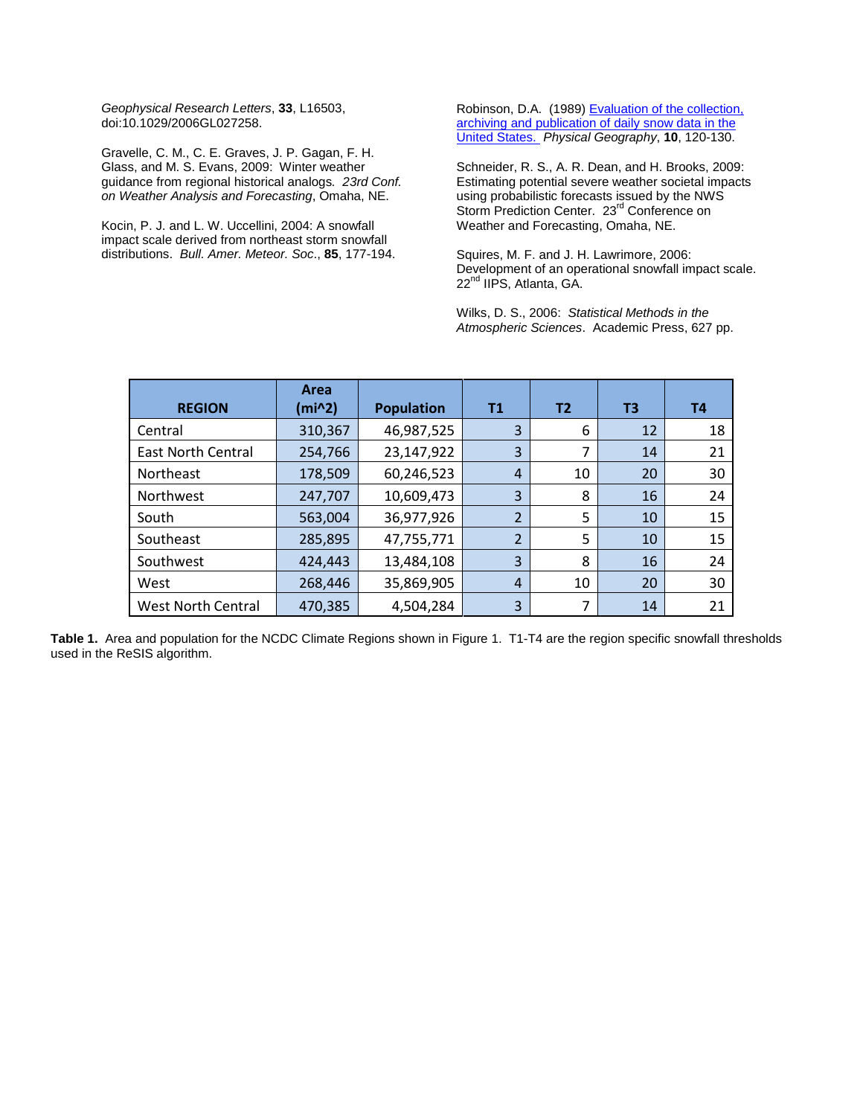*Geophysical Research Letters*, **33**, L16503, doi:10.1029/2006GL027258.

Gravelle, C. M., C. E. Graves, J. P. Gagan, F. H. Glass, and M. S. Evans, 2009: Winter weather guidance from regional historical analogs*. 23rd Conf. on Weather Analysis and Forecasting*, Omaha, NE.

Kocin, P. J. and L. W. Uccellini, 2004: A snowfall impact scale derived from northeast storm snowfall distributions. *Bull. Amer. Meteor. Soc*., **85**, 177-194. Robinson, D.A. (1989) Evaluation of the collection, [archiving and publication of daily snow data in the](http://climate.rutgers.edu/stateclim_v1/robinson_pubs/refereed/Robinson_1989.pdf)  [United States.](http://climate.rutgers.edu/stateclim_v1/robinson_pubs/refereed/Robinson_1989.pdf) *Physical Geography*, **10**, 120-130.

Schneider, R. S., A. R. Dean, and H. Brooks, 2009: Estimating potential severe weather societal impacts using probabilistic forecasts issued by the NWS Storm Prediction Center. 23<sup>rd</sup> Conference on Weather and Forecasting, Omaha, NE.

Squires, M. F. and J. H. Lawrimore, 2006: Development of an operational snowfall impact scale. 22<sup>nd</sup> IIPS, Atlanta, GA.

Wilks, D. S., 2006: *Statistical Methods in the Atmospheric Sciences*. Academic Press, 627 pp.

| <b>REGION</b>             | Area<br>(min2) | <b>Population</b> | <b>T1</b>      | T2 | T3 | <b>T4</b> |
|---------------------------|----------------|-------------------|----------------|----|----|-----------|
| Central                   | 310,367        | 46,987,525        | 3              | 6  | 12 | 18        |
| <b>East North Central</b> | 254,766        | 23,147,922        | 3              | 7  | 14 | 21        |
| Northeast                 | 178,509        | 60,246,523        | $\overline{4}$ | 10 | 20 | 30        |
| <b>Northwest</b>          | 247,707        | 10,609,473        | 3              | 8  | 16 | 24        |
| South                     | 563,004        | 36,977,926        | 2              | 5  | 10 | 15        |
| Southeast                 | 285,895        | 47,755,771        | $\overline{2}$ | 5  | 10 | 15        |
| Southwest                 | 424,443        | 13,484,108        | 3              | 8  | 16 | 24        |
| West                      | 268,446        | 35,869,905        | $\overline{4}$ | 10 | 20 | 30        |
| <b>West North Central</b> | 470,385        | 4,504,284         | 3              | 7  | 14 | 21        |

**Table 1.** Area and population for the NCDC Climate Regions shown in Figure 1. T1-T4 are the region specific snowfall thresholds used in the ReSIS algorithm.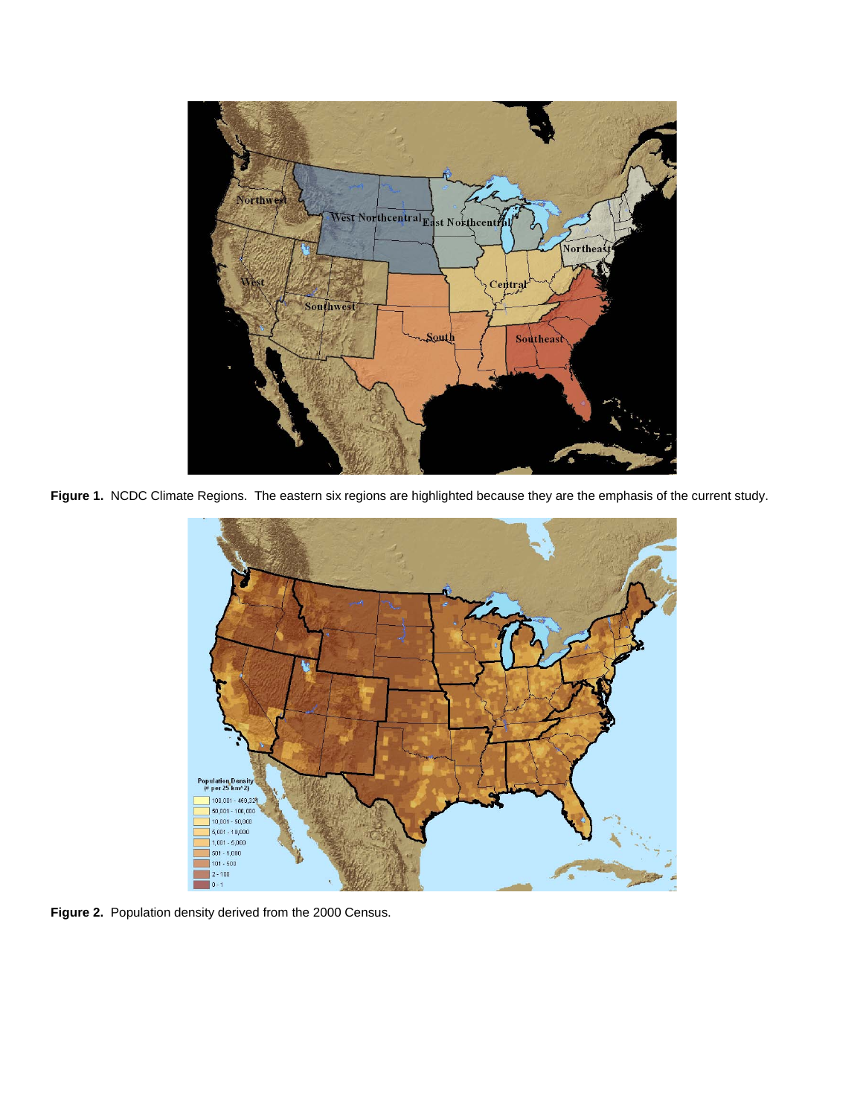

**Figure 1.** NCDC Climate Regions. The eastern six regions are highlighted because they are the emphasis of the current study.



**Figure 2.** Population density derived from the 2000 Census.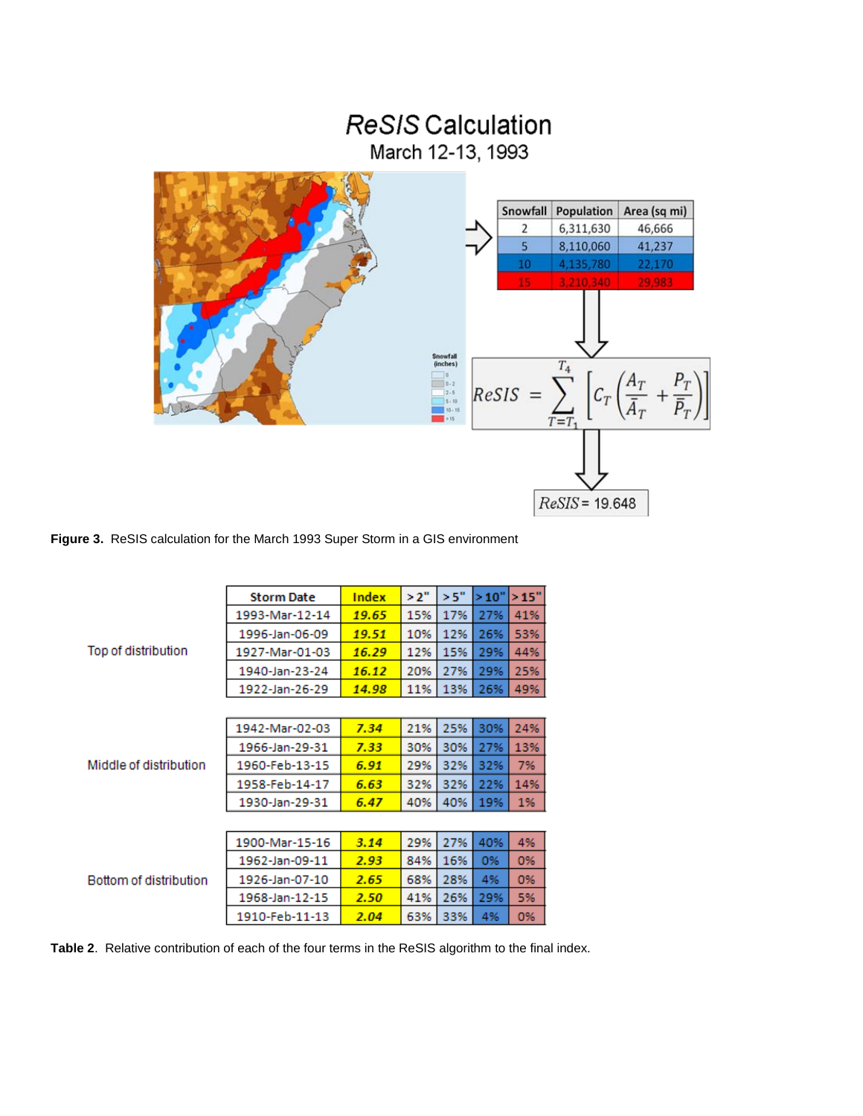

 $T_4$ 

 $T=7$ 

 $ReSIS = 19.648$ 

 $ResIS =$ 

 $c_r\left(\frac{A_T}{\bar{A}_T}\right)$ 



|                        | <b>Storm Date</b> | Index | >2" | >5" | >10" | >15" |
|------------------------|-------------------|-------|-----|-----|------|------|
|                        | 1993-Mar-12-14    | 19.65 | 15% | 17% | 27%  | 41%  |
|                        | 1996-Jan-06-09    | 19.51 | 10% | 12% | 26%  | 53%  |
| Top of distribution    | 1927-Mar-01-03    | 16.29 | 12% | 15% | 29%  | 44%  |
|                        | 1940-Jan-23-24    | 16.12 | 20% | 27% | 29%  | 25%  |
|                        | 1922-Jan-26-29    | 14.98 | 11% | 13% | 26%  | 49%  |
|                        |                   |       |     |     |      |      |
|                        | 1942-Mar-02-03    | 7.34  | 21% | 25% | 30%  | 24%  |
|                        | 1966-Jan-29-31    | 7.33  | 30% | 30% | 27%  | 13%  |
| Middle of distribution | 1960-Feb-13-15    | 6.91  | 29% | 32% | 32%  | 7%   |
|                        | 1958-Feb-14-17    | 6.63  | 32% | 32% | 22%  | 14%  |
|                        | 1930-Jan-29-31    | 6.47  | 40% | 40% | 19%  | 1%   |
|                        |                   |       |     |     |      |      |
|                        | 1900-Mar-15-16    | 3.14  | 29% | 27% | 40%  | 4%   |
|                        | 1962-Jan-09-11    | 2.93  | 84% | 16% | 0%   | 0%   |
| Bottom of distribution | 1926-Jan-07-10    | 2.65  | 68% | 28% | 4%   | 0%   |
|                        | 1968-Jan-12-15    | 2.50  | 41% | 26% | 29%  | 5%   |
|                        | 1910-Feb-11-13    | 2.04  | 63% | 33% | 4%   | 0%   |

**Table 2**. Relative contribution of each of the four terms in the ReSIS algorithm to the final index.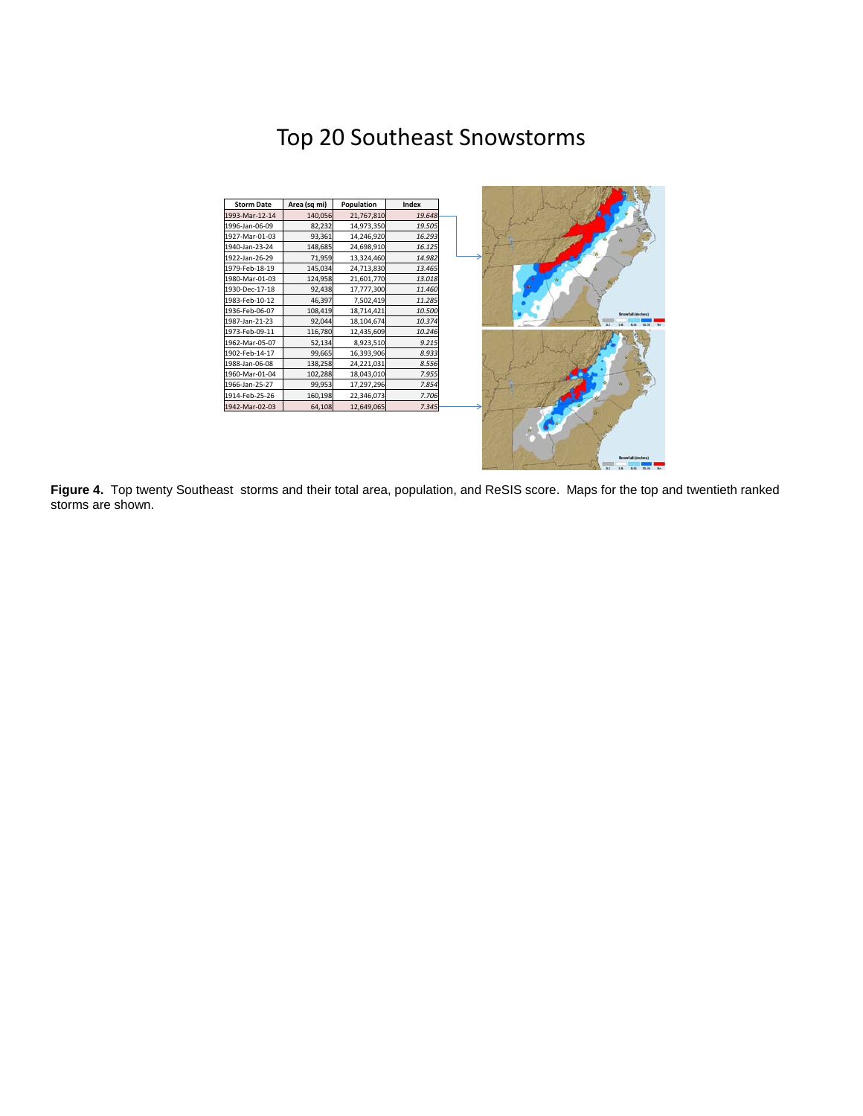# Top 20 Southeast Snowstorms



**Figure 4.** Top twenty Southeast storms and their total area, population, and ReSIS score. Maps for the top and twentieth ranked storms are shown.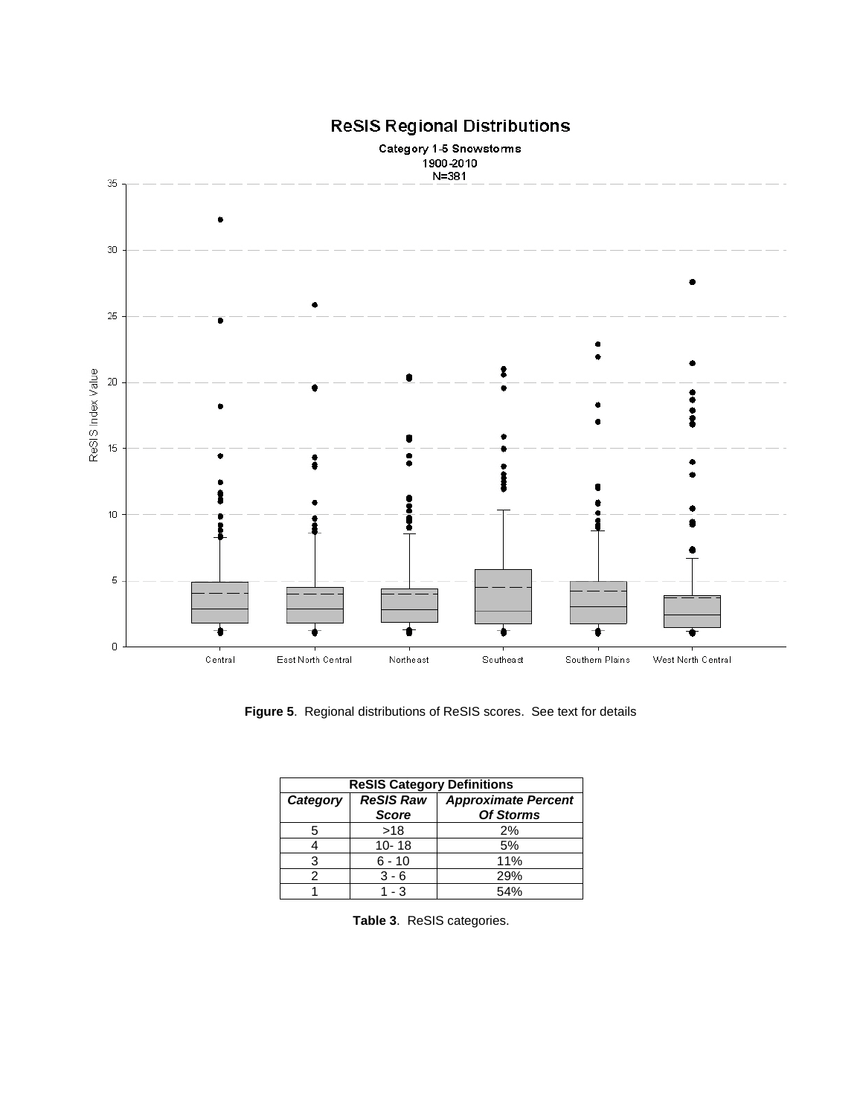

# **ReSIS Regional Distributions**

 **Figure 5**. Regional distributions of ReSIS scores. See text for details

| <b>ReSIS Category Definitions</b> |                  |                                                |  |  |  |  |  |  |
|-----------------------------------|------------------|------------------------------------------------|--|--|--|--|--|--|
| Category                          | <b>ReSIS Raw</b> | <b>Approximate Percent</b><br><b>Of Storms</b> |  |  |  |  |  |  |
|                                   | <b>Score</b>     |                                                |  |  |  |  |  |  |
|                                   | >18              | 2%                                             |  |  |  |  |  |  |
|                                   | $10 - 18$        | 5%                                             |  |  |  |  |  |  |
|                                   | $6 - 10$         | 11%                                            |  |  |  |  |  |  |
|                                   | $3 - 6$          | 29%                                            |  |  |  |  |  |  |
|                                   | 1 - 3            | 54%                                            |  |  |  |  |  |  |

**Table 3**. ReSIS categories.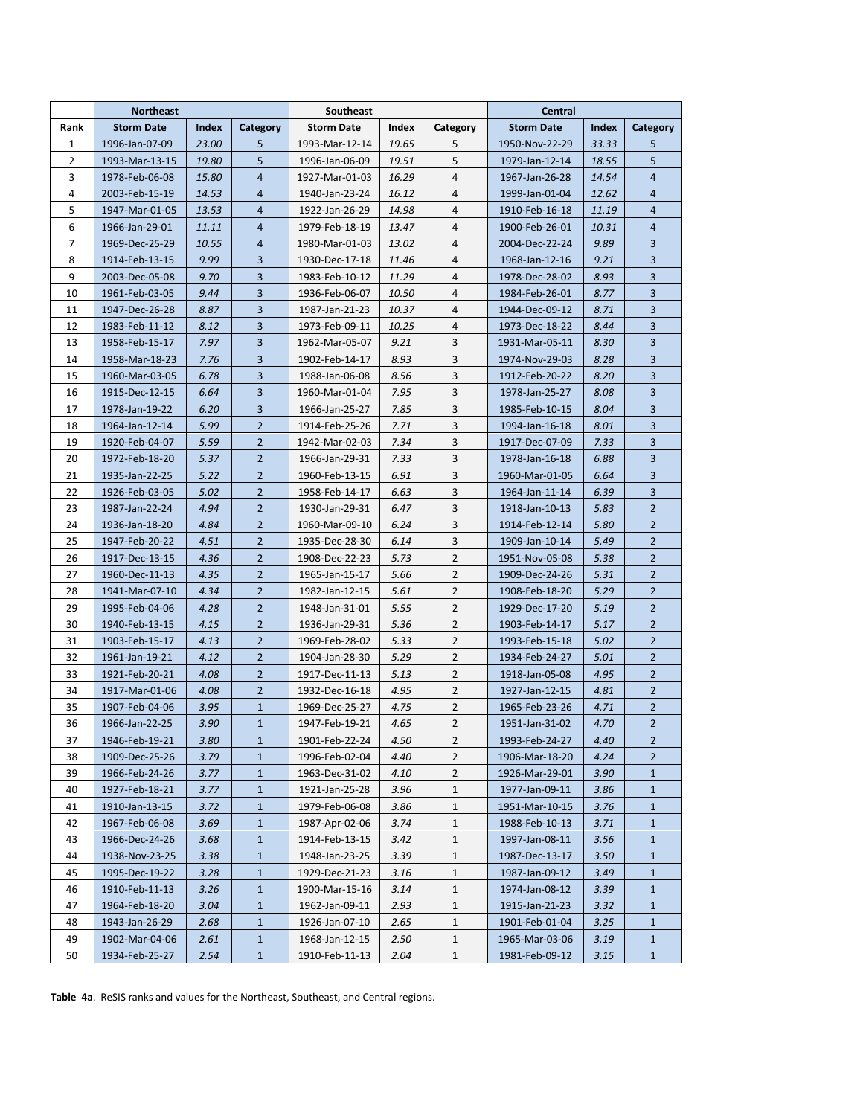|                | <b>Northeast</b>  |       |                | Southeast         |       | Central        |                   |       |                |
|----------------|-------------------|-------|----------------|-------------------|-------|----------------|-------------------|-------|----------------|
| Rank           | <b>Storm Date</b> | Index | Category       | <b>Storm Date</b> | Index | Category       | <b>Storm Date</b> | Index | Category       |
| 1              | 1996-Jan-07-09    | 23.00 | 5              | 1993-Mar-12-14    | 19.65 | 5              | 1950-Nov-22-29    | 33.33 | 5              |
| $\overline{2}$ | 1993-Mar-13-15    | 19.80 | 5              | 1996-Jan-06-09    | 19.51 | 5              | 1979-Jan-12-14    | 18.55 | 5              |
| 3              | 1978-Feb-06-08    | 15.80 | $\overline{4}$ | 1927-Mar-01-03    | 16.29 | 4              | 1967-Jan-26-28    | 14.54 | $\overline{4}$ |
| 4              | 2003-Feb-15-19    | 14.53 | $\overline{4}$ | 1940-Jan-23-24    | 16.12 | 4              | 1999-Jan-01-04    | 12.62 | $\overline{4}$ |
| 5              | 1947-Mar-01-05    | 13.53 | 4              | 1922-Jan-26-29    | 14.98 | 4              | 1910-Feb-16-18    | 11.19 | $\overline{4}$ |
| 6              | 1966-Jan-29-01    | 11.11 | $\overline{4}$ | 1979-Feb-18-19    | 13.47 | $\overline{4}$ | 1900-Feb-26-01    | 10.31 | $\overline{4}$ |
| $\overline{7}$ | 1969-Dec-25-29    | 10.55 | $\overline{4}$ | 1980-Mar-01-03    | 13.02 | 4              | 2004-Dec-22-24    | 9.89  | 3              |
| 8              | 1914-Feb-13-15    | 9.99  | 3              | 1930-Dec-17-18    | 11.46 | $\overline{4}$ | 1968-Jan-12-16    | 9.21  | 3              |
| 9              | 2003-Dec-05-08    | 9.70  | 3              | 1983-Feb-10-12    | 11.29 | $\overline{4}$ | 1978-Dec-28-02    | 8.93  | 3              |
| 10             | 1961-Feb-03-05    | 9.44  | 3              | 1936-Feb-06-07    | 10.50 | 4              | 1984-Feb-26-01    | 8.77  | 3              |
| 11             | 1947-Dec-26-28    | 8.87  | 3              | 1987-Jan-21-23    | 10.37 | 4              | 1944-Dec-09-12    | 8.71  | 3              |
| 12             | 1983-Feb-11-12    | 8.12  | 3              | 1973-Feb-09-11    | 10.25 | 4              | 1973-Dec-18-22    | 8.44  | 3              |
| 13             | 1958-Feb-15-17    | 7.97  | 3              | 1962-Mar-05-07    | 9.21  | 3              | 1931-Mar-05-11    | 8.30  | 3              |
| 14             | 1958-Mar-18-23    | 7.76  | 3              | 1902-Feb-14-17    | 8.93  | 3              | 1974-Nov-29-03    | 8.28  | 3              |
| 15             | 1960-Mar-03-05    | 6.78  | 3              | 1988-Jan-06-08    | 8.56  | 3              | 1912-Feb-20-22    | 8.20  | 3              |
| 16             | 1915-Dec-12-15    | 6.64  | 3              | 1960-Mar-01-04    | 7.95  | 3              | 1978-Jan-25-27    | 8.08  | 3              |
| 17             | 1978-Jan-19-22    | 6.20  | 3              | 1966-Jan-25-27    | 7.85  | 3              | 1985-Feb-10-15    | 8.04  | 3              |
| 18             | 1964-Jan-12-14    | 5.99  | $\overline{2}$ | 1914-Feb-25-26    | 7.71  | 3              | 1994-Jan-16-18    | 8.01  | 3              |
| 19             | 1920-Feb-04-07    | 5.59  | $\overline{2}$ | 1942-Mar-02-03    | 7.34  | 3              | 1917-Dec-07-09    | 7.33  | 3              |
| 20             | 1972-Feb-18-20    | 5.37  | $\overline{2}$ | 1966-Jan-29-31    | 7.33  | 3              | 1978-Jan-16-18    | 6.88  | 3              |
| 21             | 1935-Jan-22-25    | 5.22  | $\overline{2}$ | 1960-Feb-13-15    | 6.91  | 3              | 1960-Mar-01-05    | 6.64  | 3              |
| 22             | 1926-Feb-03-05    | 5.02  | $\overline{2}$ | 1958-Feb-14-17    | 6.63  | 3              | 1964-Jan-11-14    | 6.39  | 3              |
| 23             | 1987-Jan-22-24    | 4.94  | $\overline{2}$ | 1930-Jan-29-31    | 6.47  | 3              | 1918-Jan-10-13    | 5.83  | $\overline{2}$ |
| 24             | 1936-Jan-18-20    | 4.84  | $\overline{2}$ | 1960-Mar-09-10    | 6.24  | 3              | 1914-Feb-12-14    | 5.80  | $\overline{2}$ |
| 25             | 1947-Feb-20-22    | 4.51  | $\overline{2}$ | 1935-Dec-28-30    | 6.14  | 3              | 1909-Jan-10-14    | 5.49  | $\overline{2}$ |
| 26             | 1917-Dec-13-15    | 4.36  | $\overline{2}$ | 1908-Dec-22-23    | 5.73  | $\overline{2}$ | 1951-Nov-05-08    | 5.38  | $\overline{2}$ |
| 27             | 1960-Dec-11-13    | 4.35  | $\overline{2}$ | 1965-Jan-15-17    | 5.66  | $\overline{2}$ | 1909-Dec-24-26    | 5.31  | $\overline{2}$ |
| 28             | 1941-Mar-07-10    | 4.34  | $\overline{2}$ | 1982-Jan-12-15    | 5.61  | $\overline{2}$ | 1908-Feb-18-20    | 5.29  | $\overline{2}$ |
| 29             | 1995-Feb-04-06    | 4.28  | $\overline{2}$ | 1948-Jan-31-01    | 5.55  | 2              | 1929-Dec-17-20    | 5.19  | $\overline{2}$ |
| 30             | 1940-Feb-13-15    | 4.15  | $\overline{2}$ | 1936-Jan-29-31    | 5.36  | $\overline{2}$ | 1903-Feb-14-17    | 5.17  | $\overline{2}$ |
| 31             | 1903-Feb-15-17    | 4.13  | $\overline{2}$ | 1969-Feb-28-02    | 5.33  | $\overline{2}$ | 1993-Feb-15-18    | 5.02  | $\overline{2}$ |
| 32             | 1961-Jan-19-21    | 4.12  | $\overline{2}$ | 1904-Jan-28-30    | 5.29  | 2              | 1934-Feb-24-27    | 5.01  | $\overline{2}$ |
| 33             | 1921-Feb-20-21    | 4.08  | $\overline{2}$ | 1917-Dec-11-13    | 5.13  | $\overline{2}$ | 1918-Jan-05-08    | 4.95  | $\overline{2}$ |
| 34             | 1917-Mar-01-06    | 4.08  | $\overline{2}$ | 1932-Dec-16-18    | 4.95  | $\overline{2}$ | 1927-Jan-12-15    | 4.81  | $\overline{2}$ |
| 35             | 1907-Feb-04-06    | 3.95  | $\mathbf{1}$   | 1969-Dec-25-27    | 4.75  | 2              | 1965-Feb-23-26    | 4.71  | $\overline{2}$ |
| 36             | 1966-Jan-22-25    | 3.90  | $\mathbf{1}$   | 1947-Feb-19-21    | 4.65  | $\overline{2}$ | 1951-Jan-31-02    | 4.70  | $\overline{2}$ |
| 37             | 1946-Feb-19-21    | 3.80  | $\mathbf{1}$   | 1901-Feb-22-24    | 4.50  | 2              | 1993-Feb-24-27    | 4.40  | $\overline{2}$ |
| 38             | 1909-Dec-25-26    | 3.79  | $\mathbf{1}$   | 1996-Feb-02-04    | 4.40  | 2              | 1906-Mar-18-20    | 4.24  | $\overline{2}$ |
| 39             | 1966-Feb-24-26    | 3.77  | $1\,$          | 1963-Dec-31-02    | 4.10  | 2              | 1926-Mar-29-01    | 3.90  | $\mathbf{1}$   |
| 40             | 1927-Feb-18-21    | 3.77  | $\mathbf{1}$   | 1921-Jan-25-28    | 3.96  | 1              | 1977-Jan-09-11    | 3.86  | $\mathbf{1}$   |
| 41             | 1910-Jan-13-15    | 3.72  | $\mathbf{1}$   | 1979-Feb-06-08    | 3.86  | 1              | 1951-Mar-10-15    | 3.76  | $\mathbf{1}$   |
| 42             | 1967-Feb-06-08    | 3.69  | $\mathbf{1}$   | 1987-Apr-02-06    | 3.74  | 1              | 1988-Feb-10-13    | 3.71  | $\mathbf{1}$   |
| 43             | 1966-Dec-24-26    | 3.68  | $\mathbf{1}$   | 1914-Feb-13-15    | 3.42  | 1              | 1997-Jan-08-11    | 3.56  | $\mathbf{1}$   |
| 44             | 1938-Nov-23-25    | 3.38  | $\mathbf{1}$   | 1948-Jan-23-25    | 3.39  | 1              | 1987-Dec-13-17    | 3.50  | $\mathbf{1}$   |
| 45             | 1995-Dec-19-22    | 3.28  | $\mathbf{1}$   | 1929-Dec-21-23    | 3.16  | 1              | 1987-Jan-09-12    | 3.49  | $\mathbf{1}$   |
| 46             | 1910-Feb-11-13    | 3.26  | $\mathbf{1}$   | 1900-Mar-15-16    | 3.14  | $\mathbf{1}$   | 1974-Jan-08-12    | 3.39  | 1              |
| 47             | 1964-Feb-18-20    | 3.04  | $\mathbf{1}$   | 1962-Jan-09-11    | 2.93  | $\mathbf{1}$   | 1915-Jan-21-23    | 3.32  | $\mathbf{1}$   |
| 48             | 1943-Jan-26-29    | 2.68  | $\mathbf{1}$   | 1926-Jan-07-10    | 2.65  | 1              | 1901-Feb-01-04    | 3.25  | $\mathbf{1}$   |
| 49             | 1902-Mar-04-06    | 2.61  | $\mathbf{1}$   | 1968-Jan-12-15    | 2.50  | 1              | 1965-Mar-03-06    | 3.19  | $\mathbf{1}$   |
| 50             | 1934-Feb-25-27    | 2.54  | $\mathbf{1}$   | 1910-Feb-11-13    | 2.04  | 1              | 1981-Feb-09-12    | 3.15  | $\mathbf{1}$   |

**Table 4a**. ReSIS ranks and values for the Northeast, Southeast, and Central regions.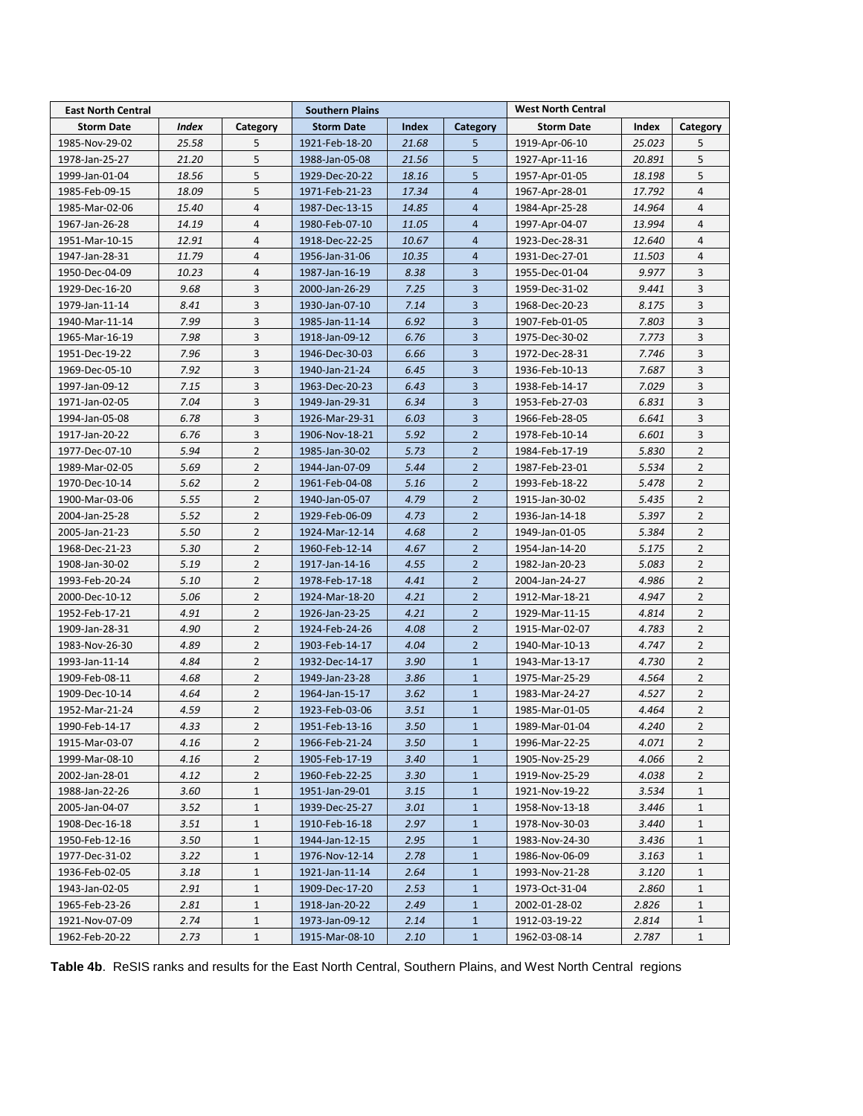| <b>East North Central</b> |              |                | <b>Southern Plains</b> | <b>West North Central</b> |                |                   |        |                |
|---------------------------|--------------|----------------|------------------------|---------------------------|----------------|-------------------|--------|----------------|
| <b>Storm Date</b>         | <b>Index</b> | Category       | <b>Storm Date</b>      | Index                     | Category       | <b>Storm Date</b> | Index  | Category       |
| 1985-Nov-29-02            | 25.58        | 5              | 1921-Feb-18-20         | 21.68                     | 5              | 1919-Apr-06-10    | 25.023 | 5              |
| 1978-Jan-25-27            | 21.20        | 5              | 1988-Jan-05-08         | 21.56                     | 5              | 1927-Apr-11-16    | 20.891 | 5              |
| 1999-Jan-01-04            | 18.56        | 5              | 1929-Dec-20-22         | 18.16                     | 5              | 1957-Apr-01-05    | 18.198 | 5              |
| 1985-Feb-09-15            | 18.09        | 5              | 1971-Feb-21-23         | 17.34                     | $\overline{4}$ | 1967-Apr-28-01    | 17.792 | 4              |
| 1985-Mar-02-06            | 15.40        | $\overline{4}$ | 1987-Dec-13-15         | 14.85                     | $\overline{4}$ | 1984-Apr-25-28    | 14.964 | 4              |
| 1967-Jan-26-28            | 14.19        | $\overline{4}$ | 1980-Feb-07-10         | 11.05                     | $\overline{4}$ | 1997-Apr-04-07    | 13.994 | $\overline{4}$ |
| 1951-Mar-10-15            | 12.91        | $\overline{4}$ | 1918-Dec-22-25         | 10.67                     | $\overline{4}$ | 1923-Dec-28-31    | 12.640 | $\overline{4}$ |
| 1947-Jan-28-31            | 11.79        | $\overline{4}$ | 1956-Jan-31-06         | 10.35                     | $\overline{4}$ | 1931-Dec-27-01    | 11.503 | $\overline{4}$ |
| 1950-Dec-04-09            | 10.23        | $\overline{4}$ | 1987-Jan-16-19         | 8.38                      | 3              | 1955-Dec-01-04    | 9.977  | 3              |
| 1929-Dec-16-20            | 9.68         | 3              | 2000-Jan-26-29         | 7.25                      | 3              | 1959-Dec-31-02    | 9.441  | 3              |
| 1979-Jan-11-14            | 8.41         | 3              | 1930-Jan-07-10         | 7.14                      | 3              | 1968-Dec-20-23    | 8.175  | 3              |
| 1940-Mar-11-14            | 7.99         | 3              | 1985-Jan-11-14         | 6.92                      | 3              | 1907-Feb-01-05    | 7.803  | 3              |
| 1965-Mar-16-19            | 7.98         | 3              | 1918-Jan-09-12         | 6.76                      | 3              | 1975-Dec-30-02    | 7.773  | 3              |
| 1951-Dec-19-22            | 7.96         | 3              | 1946-Dec-30-03         | 6.66                      | 3              | 1972-Dec-28-31    | 7.746  | 3              |
| 1969-Dec-05-10            | 7.92         | 3              | 1940-Jan-21-24         | 6.45                      | 3              | 1936-Feb-10-13    | 7.687  | 3              |
| 1997-Jan-09-12            | 7.15         | 3              | 1963-Dec-20-23         | 6.43                      | 3              | 1938-Feb-14-17    | 7.029  | 3              |
| 1971-Jan-02-05            | 7.04         | 3              | 1949-Jan-29-31         | 6.34                      | 3              | 1953-Feb-27-03    | 6.831  | 3              |
| 1994-Jan-05-08            | 6.78         | 3              | 1926-Mar-29-31         | 6.03                      | 3              | 1966-Feb-28-05    | 6.641  | 3              |
| 1917-Jan-20-22            | 6.76         | 3              | 1906-Nov-18-21         | 5.92                      | $\overline{2}$ | 1978-Feb-10-14    | 6.601  | 3              |
| 1977-Dec-07-10            | 5.94         | $\overline{2}$ | 1985-Jan-30-02         | 5.73                      | $\overline{2}$ | 1984-Feb-17-19    | 5.830  | $\overline{2}$ |
| 1989-Mar-02-05            | 5.69         | $\overline{2}$ | 1944-Jan-07-09         | 5.44                      | $\overline{2}$ | 1987-Feb-23-01    | 5.534  | $\overline{2}$ |
| 1970-Dec-10-14            | 5.62         | $\overline{2}$ | 1961-Feb-04-08         | 5.16                      | $\overline{2}$ | 1993-Feb-18-22    | 5.478  | $\overline{2}$ |
| 1900-Mar-03-06            | 5.55         | $\overline{2}$ | 1940-Jan-05-07         | 4.79                      | $\overline{2}$ | 1915-Jan-30-02    | 5.435  | $\overline{2}$ |
| 2004-Jan-25-28            | 5.52         | $\overline{2}$ | 1929-Feb-06-09         | 4.73                      | $\overline{2}$ | 1936-Jan-14-18    | 5.397  | $\overline{2}$ |
| 2005-Jan-21-23            | 5.50         | $\overline{2}$ | 1924-Mar-12-14         | 4.68                      | $\overline{2}$ | 1949-Jan-01-05    | 5.384  | $\overline{2}$ |
| 1968-Dec-21-23            | 5.30         | $\overline{2}$ | 1960-Feb-12-14         | 4.67                      | $\overline{2}$ | 1954-Jan-14-20    | 5.175  | $\overline{2}$ |
| 1908-Jan-30-02            | 5.19         | $\overline{2}$ | 1917-Jan-14-16         | 4.55                      | $\overline{2}$ | 1982-Jan-20-23    | 5.083  | $\overline{2}$ |
| 1993-Feb-20-24            | 5.10         | $\overline{2}$ | 1978-Feb-17-18         | 4.41                      | $\overline{2}$ | 2004-Jan-24-27    | 4.986  | $\overline{2}$ |
| 2000-Dec-10-12            | 5.06         | $\overline{2}$ | 1924-Mar-18-20         | 4.21                      | $\overline{2}$ | 1912-Mar-18-21    | 4.947  | $\overline{2}$ |
| 1952-Feb-17-21            | 4.91         | $\overline{2}$ | 1926-Jan-23-25         | 4.21                      | $\overline{2}$ | 1929-Mar-11-15    | 4.814  | $\overline{2}$ |
| 1909-Jan-28-31            | 4.90         | $\overline{2}$ | 1924-Feb-24-26         | 4.08                      | $\overline{2}$ | 1915-Mar-02-07    | 4.783  | $\overline{2}$ |
| 1983-Nov-26-30            | 4.89         | $\overline{2}$ | 1903-Feb-14-17         | 4.04                      | $\overline{2}$ | 1940-Mar-10-13    | 4.747  | $\overline{2}$ |
| 1993-Jan-11-14            | 4.84         | $\overline{2}$ | 1932-Dec-14-17         | 3.90                      | $\mathbf{1}$   | 1943-Mar-13-17    | 4.730  | $\overline{2}$ |
| 1909-Feb-08-11            | 4.68         | $\overline{2}$ | 1949-Jan-23-28         | 3.86                      | $\mathbf{1}$   | 1975-Mar-25-29    | 4.564  | $\overline{2}$ |
| 1909-Dec-10-14            | 4.64         | $\overline{2}$ | 1964-Jan-15-17         | 3.62                      | $\mathbf{1}$   | 1983-Mar-24-27    | 4.527  | $\overline{2}$ |
| 1952-Mar-21-24            | 4.59         | $\overline{2}$ | 1923-Feb-03-06         | 3.51                      | $\mathbf{1}$   | 1985-Mar-01-05    | 4.464  | $\overline{2}$ |
| 1990-Feb-14-17            | 4.33         | $\overline{2}$ | 1951-Feb-13-16         | 3.50                      | $\mathbf{1}$   | 1989-Mar-01-04    | 4.240  | $\overline{2}$ |
| 1915-Mar-03-07            | 4.16         | $\mathbf{2}$   | 1966-Feb-21-24         | 3.50                      | $\mathbf{1}$   | 1996-Mar-22-25    | 4.071  | 2              |
| 1999-Mar-08-10            | 4.16         | $\overline{2}$ | 1905-Feb-17-19         | 3.40                      | $\mathbf{1}$   | 1905-Nov-25-29    | 4.066  | 2              |
| 2002-Jan-28-01            | 4.12         | $\overline{2}$ | 1960-Feb-22-25         | 3.30                      | $\mathbf{1}$   | 1919-Nov-25-29    | 4.038  | $\overline{2}$ |
| 1988-Jan-22-26            | 3.60         | $\mathbf{1}$   | 1951-Jan-29-01         | 3.15                      | $\mathbf{1}$   | 1921-Nov-19-22    | 3.534  | 1              |
| 2005-Jan-04-07            | 3.52         | $\mathbf{1}$   | 1939-Dec-25-27         | 3.01                      | $\mathbf{1}$   | 1958-Nov-13-18    | 3.446  | $\mathbf{1}$   |
| 1908-Dec-16-18            | 3.51         | $\mathbf{1}$   | 1910-Feb-16-18         | 2.97                      | $\mathbf{1}$   | 1978-Nov-30-03    | 3.440  | $\mathbf{1}$   |
| 1950-Feb-12-16            | 3.50         | $\mathbf{1}$   | 1944-Jan-12-15         | 2.95                      | $\mathbf{1}$   | 1983-Nov-24-30    | 3.436  | 1              |
| 1977-Dec-31-02            | 3.22         | $\mathbf{1}$   | 1976-Nov-12-14         | 2.78                      | $\mathbf{1}$   | 1986-Nov-06-09    | 3.163  | $\mathbf{1}$   |
| 1936-Feb-02-05            | 3.18         | $\mathbf{1}$   | 1921-Jan-11-14         | 2.64                      | $\mathbf{1}$   | 1993-Nov-21-28    | 3.120  | $\mathbf{1}$   |
| 1943-Jan-02-05            | 2.91         | $\mathbf{1}$   | 1909-Dec-17-20         | 2.53                      | $\mathbf{1}$   | 1973-Oct-31-04    | 2.860  | 1              |
| 1965-Feb-23-26            | 2.81         | $\mathbf{1}$   | 1918-Jan-20-22         | 2.49                      | $\mathbf{1}$   | 2002-01-28-02     | 2.826  | 1              |
| 1921-Nov-07-09            | 2.74         | $\mathbf{1}$   | 1973-Jan-09-12         | 2.14                      | $\mathbf{1}$   | 1912-03-19-22     | 2.814  | 1              |
| 1962-Feb-20-22            | 2.73         | $\mathbf{1}$   | 1915-Mar-08-10         | 2.10                      | $\mathbf{1}$   | 1962-03-08-14     | 2.787  | 1              |

**Table 4b**. ReSIS ranks and results for the East North Central, Southern Plains, and West North Central regions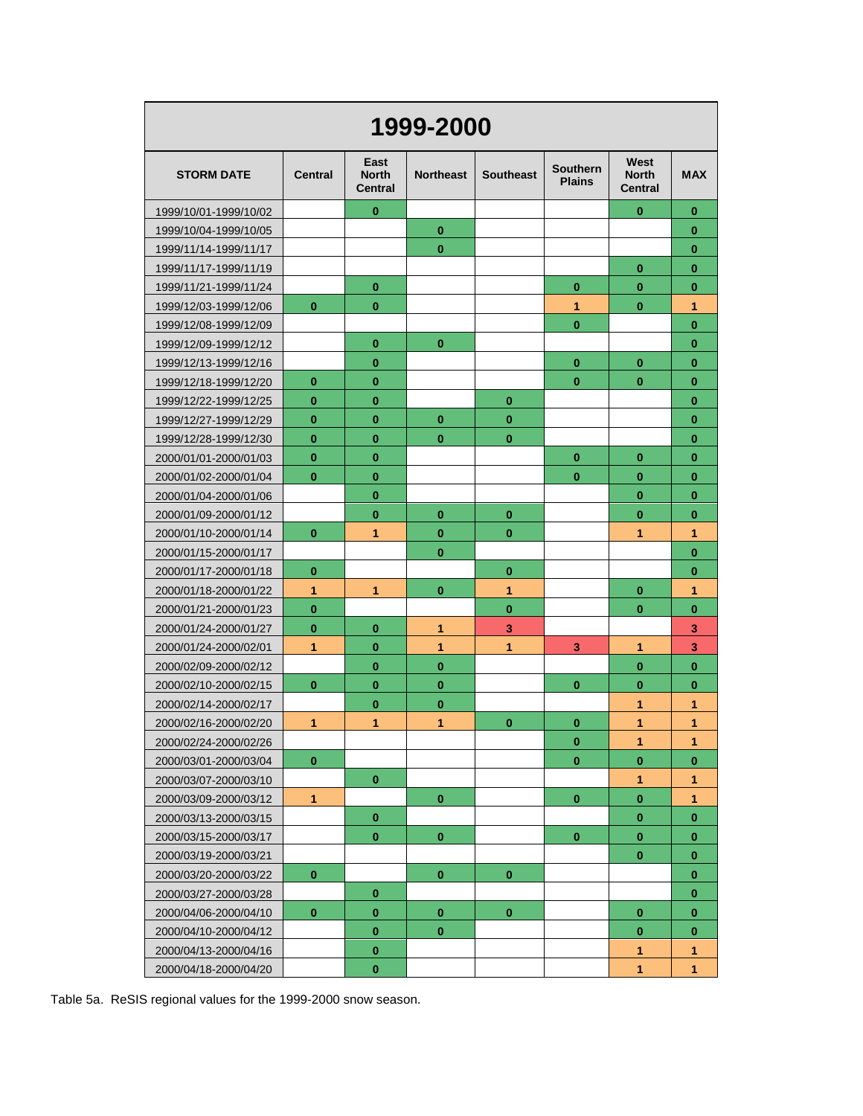| 1999-2000             |                |                                        |                  |                  |                                  |                                        |            |  |
|-----------------------|----------------|----------------------------------------|------------------|------------------|----------------------------------|----------------------------------------|------------|--|
| <b>STORM DATE</b>     | <b>Central</b> | East<br><b>North</b><br><b>Central</b> | <b>Northeast</b> | <b>Southeast</b> | <b>Southern</b><br><b>Plains</b> | West<br><b>North</b><br><b>Central</b> | <b>MAX</b> |  |
| 1999/10/01-1999/10/02 |                | $\bf{0}$                               |                  |                  |                                  | $\bf{0}$                               | 0          |  |
| 1999/10/04-1999/10/05 |                |                                        | $\bf{0}$         |                  |                                  |                                        | $\bf{0}$   |  |
| 1999/11/14-1999/11/17 |                |                                        | $\bf{0}$         |                  |                                  |                                        | $\bf{0}$   |  |
| 1999/11/17-1999/11/19 |                |                                        |                  |                  |                                  | $\bf{0}$                               | $\bf{0}$   |  |
| 1999/11/21-1999/11/24 |                | $\bf{0}$                               |                  |                  | $\bf{0}$                         | $\bf{0}$                               | $\bf{0}$   |  |
| 1999/12/03-1999/12/06 | $\bf{0}$       | $\bf{0}$                               |                  |                  | 1                                | $\bf{0}$                               | 1          |  |
| 1999/12/08-1999/12/09 |                |                                        |                  |                  | $\bf{0}$                         |                                        | $\bf{0}$   |  |
| 1999/12/09-1999/12/12 |                | $\bf{0}$                               | $\bf{0}$         |                  |                                  |                                        | $\bf{0}$   |  |
| 1999/12/13-1999/12/16 |                | $\bf{0}$                               |                  |                  | 0                                | $\bf{0}$                               | $\bf{0}$   |  |
| 1999/12/18-1999/12/20 | $\bf{0}$       | $\bf{0}$                               |                  |                  | $\bf{0}$                         | $\bf{0}$                               | $\bf{0}$   |  |
| 1999/12/22-1999/12/25 | $\bf{0}$       | $\bf{0}$                               |                  | 0                |                                  |                                        | $\bf{0}$   |  |
| 1999/12/27-1999/12/29 | $\bf{0}$       | $\bf{0}$                               | $\bf{0}$         | $\bf{0}$         |                                  |                                        | $\bf{0}$   |  |
| 1999/12/28-1999/12/30 | $\bf{0}$       | $\bf{0}$                               | $\bf{0}$         | $\bf{0}$         |                                  |                                        | $\bf{0}$   |  |
| 2000/01/01-2000/01/03 | $\bf{0}$       | $\bf{0}$                               |                  |                  | $\bf{0}$                         | $\bf{0}$                               | $\bf{0}$   |  |
| 2000/01/02-2000/01/04 | $\bf{0}$       | $\bf{0}$                               |                  |                  | $\bf{0}$                         | $\bf{0}$                               | $\bf{0}$   |  |
| 2000/01/04-2000/01/06 |                | $\bf{0}$                               |                  |                  |                                  | $\bf{0}$                               | $\bf{0}$   |  |
| 2000/01/09-2000/01/12 |                | $\bf{0}$                               | $\bf{0}$         | 0                |                                  | $\bf{0}$                               | $\bf{0}$   |  |
| 2000/01/10-2000/01/14 | $\bf{0}$       | 1                                      | $\bf{0}$         | 0                |                                  | 1                                      | 1          |  |
| 2000/01/15-2000/01/17 |                |                                        | $\bf{0}$         |                  |                                  |                                        | $\bf{0}$   |  |
| 2000/01/17-2000/01/18 | $\bf{0}$       |                                        |                  | $\bf{0}$         |                                  |                                        | $\bf{0}$   |  |
| 2000/01/18-2000/01/22 | 1              | 1                                      | $\bf{0}$         | 1                |                                  | $\bf{0}$                               | 1          |  |
| 2000/01/21-2000/01/23 | $\bf{0}$       |                                        |                  | $\bf{0}$         |                                  | $\bf{0}$                               | $\bf{0}$   |  |
| 2000/01/24-2000/01/27 | $\bf{0}$       | $\bf{0}$                               | 1                | 3                |                                  |                                        | 3          |  |
| 2000/01/24-2000/02/01 | 1              | $\bf{0}$                               | 1                | 1                | 3                                | 1                                      | 3          |  |
| 2000/02/09-2000/02/12 |                | $\bf{0}$                               | $\bf{0}$         |                  |                                  | $\bf{0}$                               | $\bf{0}$   |  |
| 2000/02/10-2000/02/15 | $\bf{0}$       | $\bf{0}$                               | $\bf{0}$         |                  | $\bf{0}$                         | $\bf{0}$                               | $\bf{0}$   |  |
| 2000/02/14-2000/02/17 |                | $\bf{0}$                               | $\bf{0}$         |                  |                                  | 1                                      | 1          |  |
| 2000/02/16-2000/02/20 | 1              | 1                                      | $\mathbf{1}$     | $\bf{0}$         | $\bf{0}$                         | 1                                      | 1          |  |
| 2000/02/24-2000/02/26 |                |                                        |                  |                  | $\bf{0}$                         | 1                                      | 1          |  |
| 2000/03/01-2000/03/04 | $\bf{0}$       |                                        |                  |                  | $\mathbf{0}$                     | $\bf{0}$                               | $\bf{0}$   |  |
| 2000/03/07-2000/03/10 |                | $\boldsymbol{0}$                       |                  |                  |                                  | 1                                      | 1          |  |
| 2000/03/09-2000/03/12 | $\mathbf{1}$   |                                        | $\bf{0}$         |                  | $\bf{0}$                         | $\bf{0}$                               | 1          |  |
| 2000/03/13-2000/03/15 |                | $\bf{0}$                               |                  |                  |                                  | $\bf{0}$                               | $\bf{0}$   |  |
| 2000/03/15-2000/03/17 |                | $\bf{0}$                               | $\bf{0}$         |                  | $\bf{0}$                         | $\bf{0}$                               | 0          |  |
| 2000/03/19-2000/03/21 |                |                                        |                  |                  |                                  | $\bf{0}$                               | $\bf{0}$   |  |
| 2000/03/20-2000/03/22 | $\bf{0}$       |                                        | $\bf{0}$         | $\bf{0}$         |                                  |                                        | $\bf{0}$   |  |
| 2000/03/27-2000/03/28 |                | $\bf{0}$                               |                  |                  |                                  |                                        | $\bf{0}$   |  |
| 2000/04/06-2000/04/10 | $\bf{0}$       | $\bf{0}$                               | $\pmb{0}$        | $\bf{0}$         |                                  | $\bf{0}$                               | $\bf{0}$   |  |
| 2000/04/10-2000/04/12 |                | $\bf{0}$                               | $\bf{0}$         |                  |                                  | $\bf{0}$                               | $\bf{0}$   |  |
| 2000/04/13-2000/04/16 |                | $\pmb{0}$                              |                  |                  |                                  | 1                                      | 1          |  |
| 2000/04/18-2000/04/20 |                | $\boldsymbol{0}$                       |                  |                  |                                  | 1                                      | 1          |  |

Table 5a. ReSIS regional values for the 1999-2000 snow season.